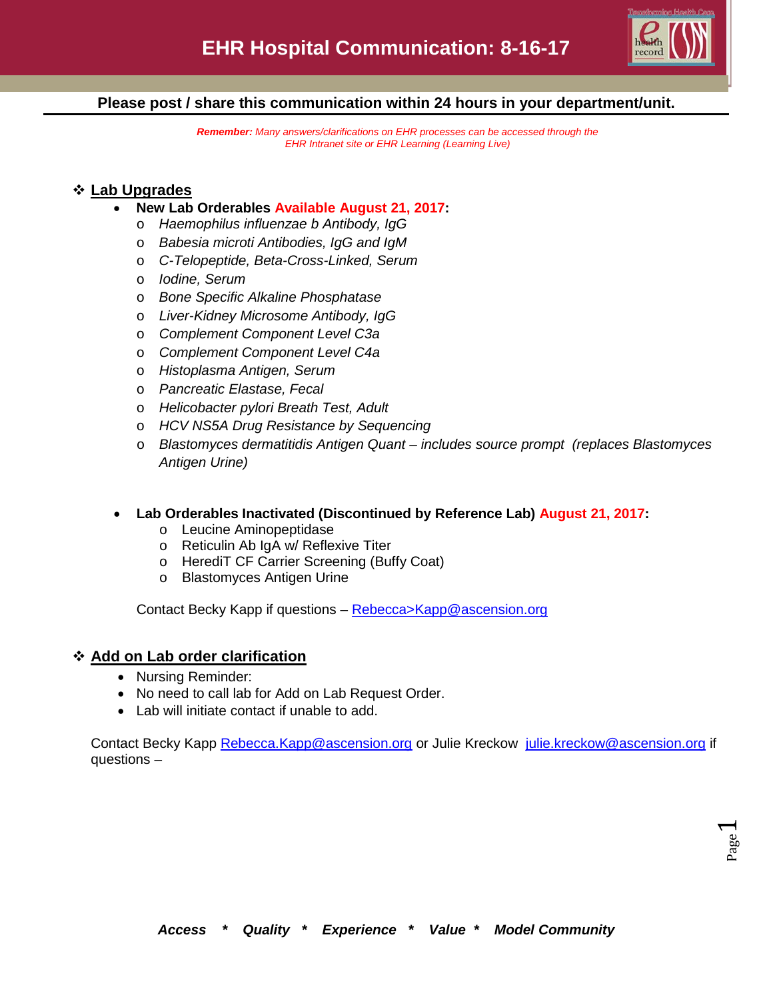

### **Please post / share this communication within 24 hours in your department/unit.**

*Remember: Many answers/clarifications on EHR processes can be accessed through the EHR Intranet site or EHR Learning (Learning Live)*

## **Lab Upgrades**

- **New Lab Orderables Available August 21, 2017:**
	- o *Haemophilus influenzae b Antibody, IgG*
	- o *Babesia microti Antibodies, IgG and IgM*
	- o *C-Telopeptide, Beta-Cross-Linked, Serum*
	- o *Iodine, Serum*
	- o *Bone Specific Alkaline Phosphatase*
	- o *Liver-Kidney Microsome Antibody, IgG*
	- o *Complement Component Level C3a*
	- o *Complement Component Level C4a*
	- o *Histoplasma Antigen, Serum*
	- o *Pancreatic Elastase, Fecal*
	- o *Helicobacter pylori Breath Test, Adult*
	- o *HCV NS5A Drug Resistance by Sequencing*
	- o *Blastomyces dermatitidis Antigen Quant – includes source prompt (replaces Blastomyces Antigen Urine)*
- **Lab Orderables Inactivated (Discontinued by Reference Lab) August 21, 2017:**
	- o Leucine Aminopeptidase
	- o Reticulin Ab IgA w/ Reflexive Titer
	- o HerediT CF Carrier Screening (Buffy Coat)
	- o Blastomyces Antigen Urine

Contact Becky Kapp if questions – [Rebecca>Kapp@ascension.org](mailto:Rebecca%3EKapp@ascension.org)

### **Add on Lab order clarification**

- Nursing Reminder:
- No need to call lab for Add on Lab Request Order.
- Lab will initiate contact if unable to add.

Contact Becky Kapp [Rebecca.Kapp@ascension.org](mailto:Rebecca.Kapp@ascension.org) or Julie Kreckow [julie.kreckow@ascension.org](mailto:julie.kreckow@ascension.org) if questions –